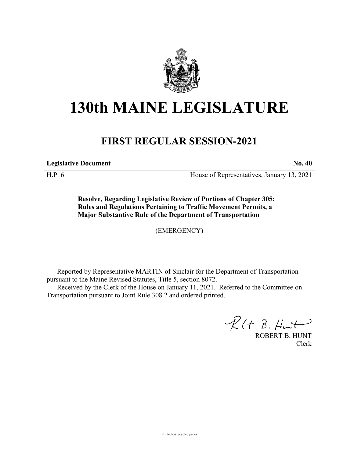

## **130th MAINE LEGISLATURE**

## **FIRST REGULAR SESSION-2021**

**Legislative Document No. 40**

H.P. 6 House of Representatives, January 13, 2021

**Resolve, Regarding Legislative Review of Portions of Chapter 305: Rules and Regulations Pertaining to Traffic Movement Permits, a Major Substantive Rule of the Department of Transportation**

(EMERGENCY)

Reported by Representative MARTIN of Sinclair for the Department of Transportation pursuant to the Maine Revised Statutes, Title 5, section 8072.

Received by the Clerk of the House on January 11, 2021. Referred to the Committee on Transportation pursuant to Joint Rule 308.2 and ordered printed.

 $R(H B. H<sub>un</sub>+)$ 

ROBERT B. HUNT Clerk